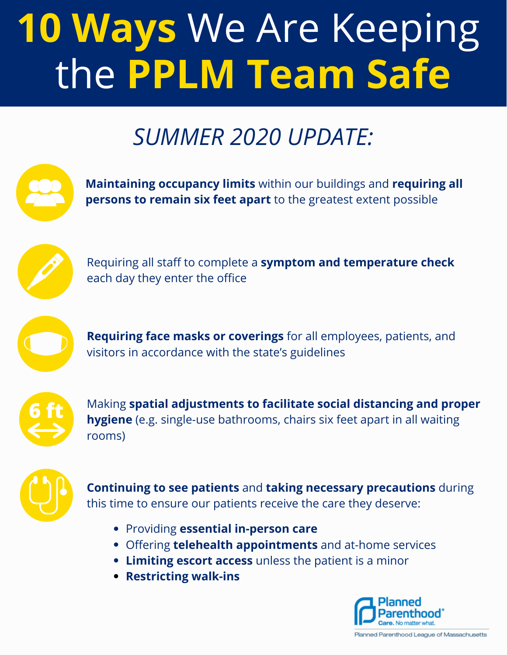## **10 Ways** We Are Keeping the **PPLM Team Safe**

## *SUMMER 2020 UPDATE:*



- Offering **telehealth appointments** and at-home services
- **Limiting escort access** unless the patient is a minor
- **Restricting walk-ins**